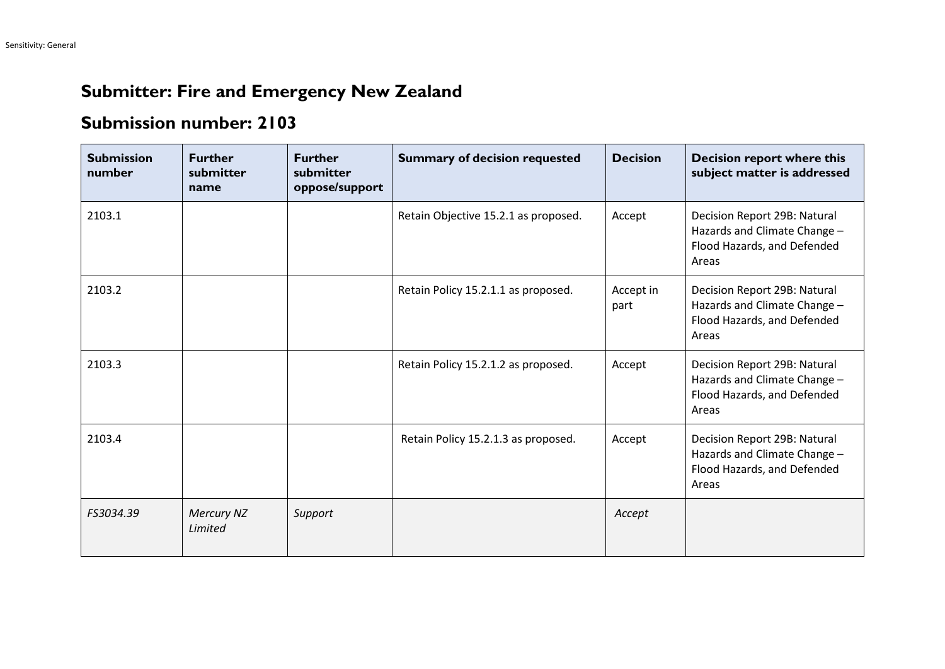## **Submitter: Fire and Emergency New Zealand**

## **Submission number: 2103**

| <b>Submission</b><br>number | <b>Further</b><br>submitter<br>name | <b>Further</b><br>submitter<br>oppose/support | <b>Summary of decision requested</b> | <b>Decision</b>   | Decision report where this<br>subject matter is addressed                                            |
|-----------------------------|-------------------------------------|-----------------------------------------------|--------------------------------------|-------------------|------------------------------------------------------------------------------------------------------|
| 2103.1                      |                                     |                                               | Retain Objective 15.2.1 as proposed. | Accept            | Decision Report 29B: Natural<br>Hazards and Climate Change -<br>Flood Hazards, and Defended<br>Areas |
| 2103.2                      |                                     |                                               | Retain Policy 15.2.1.1 as proposed.  | Accept in<br>part | Decision Report 29B: Natural<br>Hazards and Climate Change -<br>Flood Hazards, and Defended<br>Areas |
| 2103.3                      |                                     |                                               | Retain Policy 15.2.1.2 as proposed.  | Accept            | Decision Report 29B: Natural<br>Hazards and Climate Change -<br>Flood Hazards, and Defended<br>Areas |
| 2103.4                      |                                     |                                               | Retain Policy 15.2.1.3 as proposed.  | Accept            | Decision Report 29B: Natural<br>Hazards and Climate Change -<br>Flood Hazards, and Defended<br>Areas |
| FS3034.39                   | Mercury NZ<br>Limited               | Support                                       |                                      | Accept            |                                                                                                      |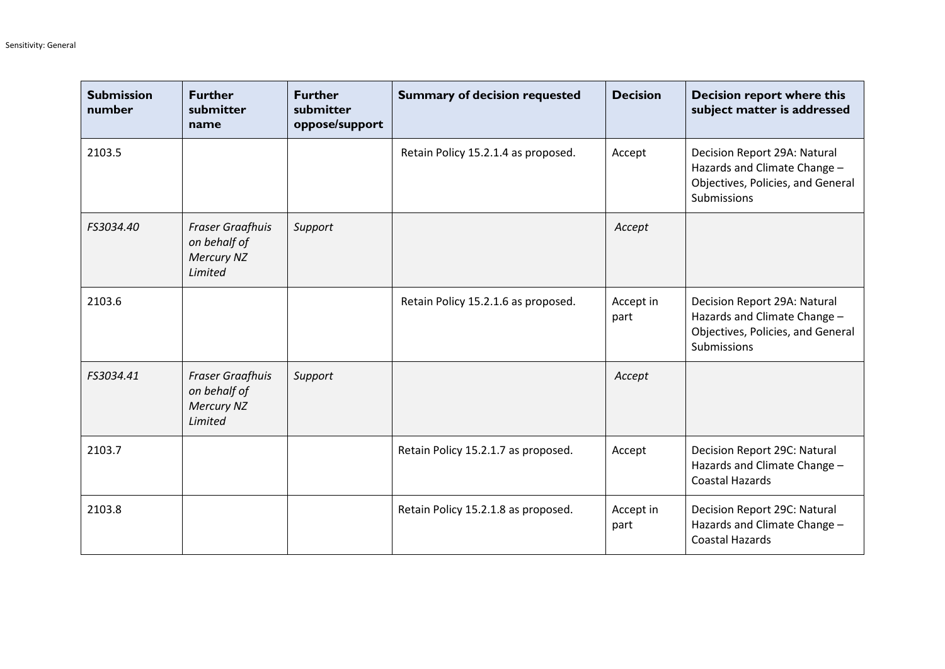| <b>Submission</b><br>number | <b>Further</b><br>submitter<br>name                                     | <b>Further</b><br>submitter<br>oppose/support | <b>Summary of decision requested</b> | <b>Decision</b>   | <b>Decision report where this</b><br>subject matter is addressed                                                        |
|-----------------------------|-------------------------------------------------------------------------|-----------------------------------------------|--------------------------------------|-------------------|-------------------------------------------------------------------------------------------------------------------------|
| 2103.5                      |                                                                         |                                               | Retain Policy 15.2.1.4 as proposed.  | Accept            | Decision Report 29A: Natural<br>Hazards and Climate Change -<br>Objectives, Policies, and General<br>Submissions        |
| FS3034.40                   | <b>Fraser Graafhuis</b><br>on behalf of<br><b>Mercury NZ</b><br>Limited | Support                                       |                                      | Accept            |                                                                                                                         |
| 2103.6                      |                                                                         |                                               | Retain Policy 15.2.1.6 as proposed.  | Accept in<br>part | Decision Report 29A: Natural<br>Hazards and Climate Change -<br>Objectives, Policies, and General<br><b>Submissions</b> |
| FS3034.41                   | <b>Fraser Graafhuis</b><br>on behalf of<br><b>Mercury NZ</b><br>Limited | Support                                       |                                      | Accept            |                                                                                                                         |
| 2103.7                      |                                                                         |                                               | Retain Policy 15.2.1.7 as proposed.  | Accept            | Decision Report 29C: Natural<br>Hazards and Climate Change -<br><b>Coastal Hazards</b>                                  |
| 2103.8                      |                                                                         |                                               | Retain Policy 15.2.1.8 as proposed.  | Accept in<br>part | Decision Report 29C: Natural<br>Hazards and Climate Change -<br><b>Coastal Hazards</b>                                  |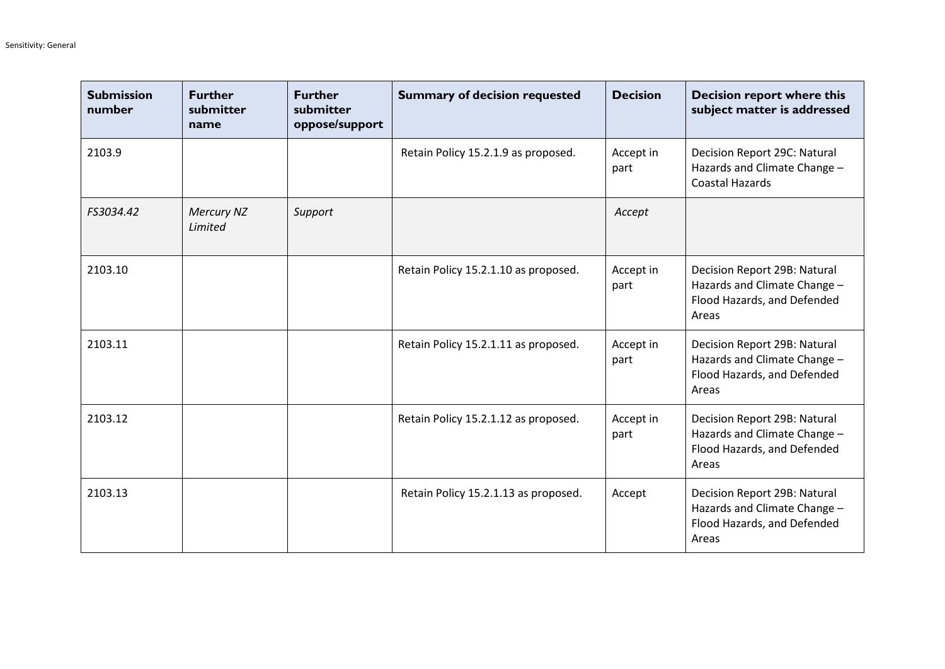| <b>Submission</b><br>number | <b>Further</b><br>submitter<br>name | <b>Further</b><br>submitter<br>oppose/support | <b>Summary of decision requested</b> | <b>Decision</b>   | <b>Decision report where this</b><br>subject matter is addressed                                     |
|-----------------------------|-------------------------------------|-----------------------------------------------|--------------------------------------|-------------------|------------------------------------------------------------------------------------------------------|
| 2103.9                      |                                     |                                               | Retain Policy 15.2.1.9 as proposed.  | Accept in<br>part | Decision Report 29C: Natural<br>Hazards and Climate Change -<br><b>Coastal Hazards</b>               |
| FS3034.42                   | <b>Mercury NZ</b><br>Limited        | Support                                       |                                      | Accept            |                                                                                                      |
| 2103.10                     |                                     |                                               | Retain Policy 15.2.1.10 as proposed. | Accept in<br>part | Decision Report 29B: Natural<br>Hazards and Climate Change -<br>Flood Hazards, and Defended<br>Areas |
| 2103.11                     |                                     |                                               | Retain Policy 15.2.1.11 as proposed. | Accept in<br>part | Decision Report 29B: Natural<br>Hazards and Climate Change -<br>Flood Hazards, and Defended<br>Areas |
| 2103.12                     |                                     |                                               | Retain Policy 15.2.1.12 as proposed. | Accept in<br>part | Decision Report 29B: Natural<br>Hazards and Climate Change -<br>Flood Hazards, and Defended<br>Areas |
| 2103.13                     |                                     |                                               | Retain Policy 15.2.1.13 as proposed. | Accept            | Decision Report 29B: Natural<br>Hazards and Climate Change -<br>Flood Hazards, and Defended<br>Areas |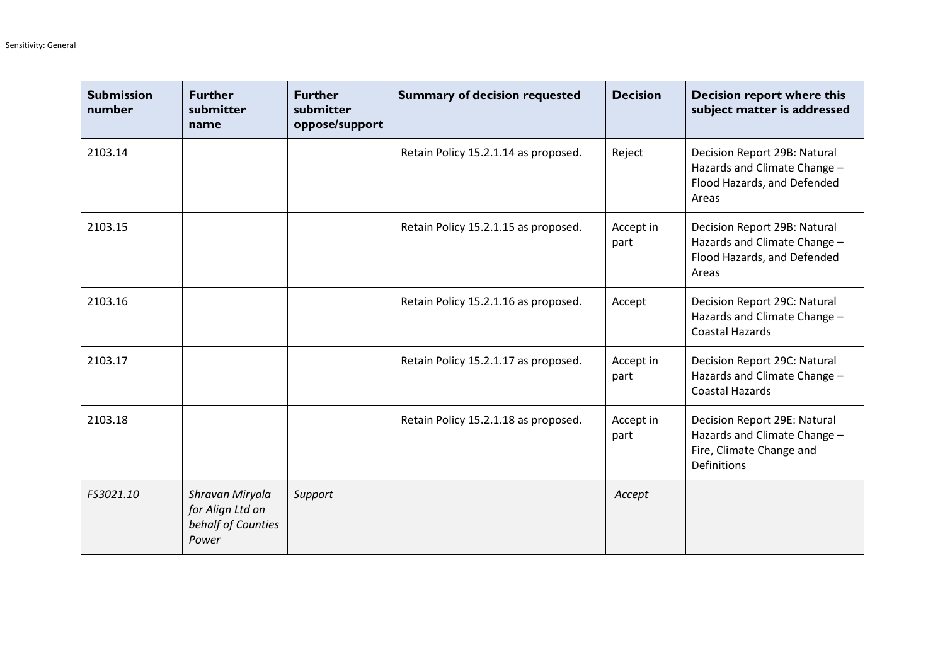| <b>Submission</b><br>number | <b>Further</b><br>submitter<br>name                                | <b>Further</b><br>submitter<br>oppose/support | <b>Summary of decision requested</b> | <b>Decision</b>   | Decision report where this<br>subject matter is addressed                                                      |
|-----------------------------|--------------------------------------------------------------------|-----------------------------------------------|--------------------------------------|-------------------|----------------------------------------------------------------------------------------------------------------|
| 2103.14                     |                                                                    |                                               | Retain Policy 15.2.1.14 as proposed. | Reject            | Decision Report 29B: Natural<br>Hazards and Climate Change -<br>Flood Hazards, and Defended<br>Areas           |
| 2103.15                     |                                                                    |                                               | Retain Policy 15.2.1.15 as proposed. | Accept in<br>part | Decision Report 29B: Natural<br>Hazards and Climate Change -<br>Flood Hazards, and Defended<br>Areas           |
| 2103.16                     |                                                                    |                                               | Retain Policy 15.2.1.16 as proposed. | Accept            | Decision Report 29C: Natural<br>Hazards and Climate Change -<br><b>Coastal Hazards</b>                         |
| 2103.17                     |                                                                    |                                               | Retain Policy 15.2.1.17 as proposed. | Accept in<br>part | Decision Report 29C: Natural<br>Hazards and Climate Change -<br><b>Coastal Hazards</b>                         |
| 2103.18                     |                                                                    |                                               | Retain Policy 15.2.1.18 as proposed. | Accept in<br>part | Decision Report 29E: Natural<br>Hazards and Climate Change -<br>Fire, Climate Change and<br><b>Definitions</b> |
| FS3021.10                   | Shravan Miryala<br>for Align Ltd on<br>behalf of Counties<br>Power | Support                                       |                                      | Accept            |                                                                                                                |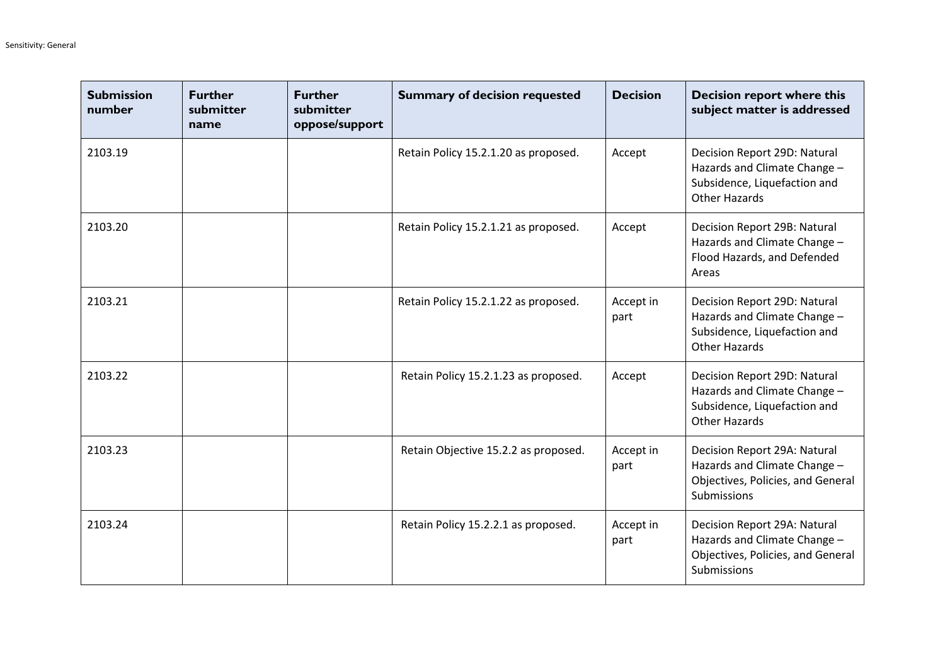| <b>Submission</b><br>number | <b>Further</b><br>submitter<br>name | <b>Further</b><br>submitter<br>oppose/support | <b>Summary of decision requested</b> | <b>Decision</b>   | <b>Decision report where this</b><br>subject matter is addressed                                                     |
|-----------------------------|-------------------------------------|-----------------------------------------------|--------------------------------------|-------------------|----------------------------------------------------------------------------------------------------------------------|
| 2103.19                     |                                     |                                               | Retain Policy 15.2.1.20 as proposed. | Accept            | Decision Report 29D: Natural<br>Hazards and Climate Change -<br>Subsidence, Liquefaction and<br><b>Other Hazards</b> |
| 2103.20                     |                                     |                                               | Retain Policy 15.2.1.21 as proposed. | Accept            | Decision Report 29B: Natural<br>Hazards and Climate Change -<br>Flood Hazards, and Defended<br>Areas                 |
| 2103.21                     |                                     |                                               | Retain Policy 15.2.1.22 as proposed. | Accept in<br>part | Decision Report 29D: Natural<br>Hazards and Climate Change -<br>Subsidence, Liquefaction and<br><b>Other Hazards</b> |
| 2103.22                     |                                     |                                               | Retain Policy 15.2.1.23 as proposed. | Accept            | Decision Report 29D: Natural<br>Hazards and Climate Change -<br>Subsidence, Liquefaction and<br><b>Other Hazards</b> |
| 2103.23                     |                                     |                                               | Retain Objective 15.2.2 as proposed. | Accept in<br>part | Decision Report 29A: Natural<br>Hazards and Climate Change -<br>Objectives, Policies, and General<br>Submissions     |
| 2103.24                     |                                     |                                               | Retain Policy 15.2.2.1 as proposed.  | Accept in<br>part | Decision Report 29A: Natural<br>Hazards and Climate Change -<br>Objectives, Policies, and General<br>Submissions     |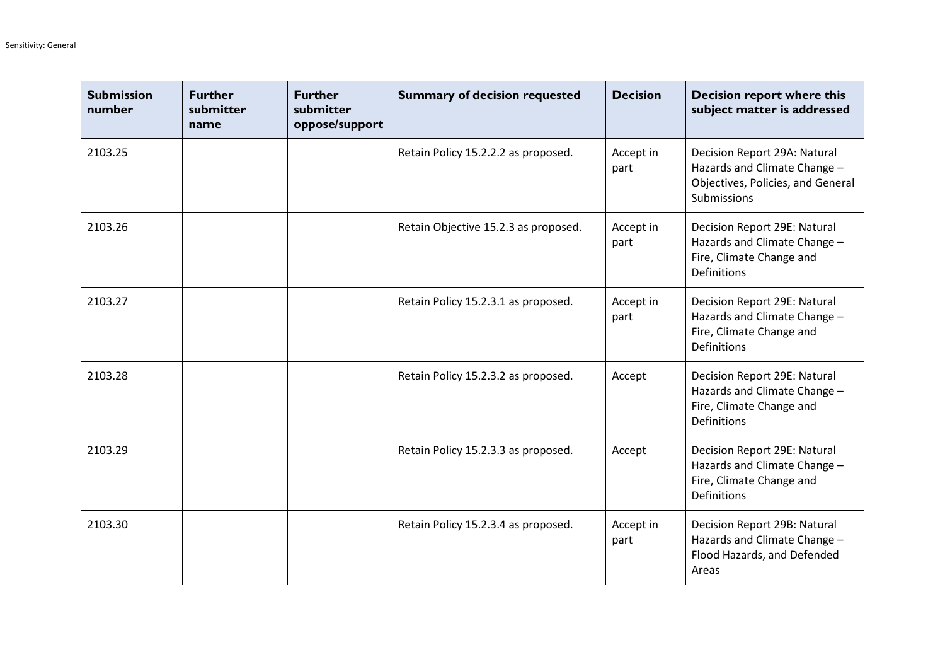| <b>Submission</b><br>number | <b>Further</b><br>submitter<br>name | <b>Further</b><br>submitter<br>oppose/support | <b>Summary of decision requested</b> | <b>Decision</b>   | <b>Decision report where this</b><br>subject matter is addressed                                                 |
|-----------------------------|-------------------------------------|-----------------------------------------------|--------------------------------------|-------------------|------------------------------------------------------------------------------------------------------------------|
| 2103.25                     |                                     |                                               | Retain Policy 15.2.2.2 as proposed.  | Accept in<br>part | Decision Report 29A: Natural<br>Hazards and Climate Change -<br>Objectives, Policies, and General<br>Submissions |
| 2103.26                     |                                     |                                               | Retain Objective 15.2.3 as proposed. | Accept in<br>part | Decision Report 29E: Natural<br>Hazards and Climate Change -<br>Fire, Climate Change and<br><b>Definitions</b>   |
| 2103.27                     |                                     |                                               | Retain Policy 15.2.3.1 as proposed.  | Accept in<br>part | Decision Report 29E: Natural<br>Hazards and Climate Change -<br>Fire, Climate Change and<br><b>Definitions</b>   |
| 2103.28                     |                                     |                                               | Retain Policy 15.2.3.2 as proposed.  | Accept            | Decision Report 29E: Natural<br>Hazards and Climate Change -<br>Fire, Climate Change and<br><b>Definitions</b>   |
| 2103.29                     |                                     |                                               | Retain Policy 15.2.3.3 as proposed.  | Accept            | Decision Report 29E: Natural<br>Hazards and Climate Change -<br>Fire, Climate Change and<br><b>Definitions</b>   |
| 2103.30                     |                                     |                                               | Retain Policy 15.2.3.4 as proposed.  | Accept in<br>part | Decision Report 29B: Natural<br>Hazards and Climate Change -<br>Flood Hazards, and Defended<br>Areas             |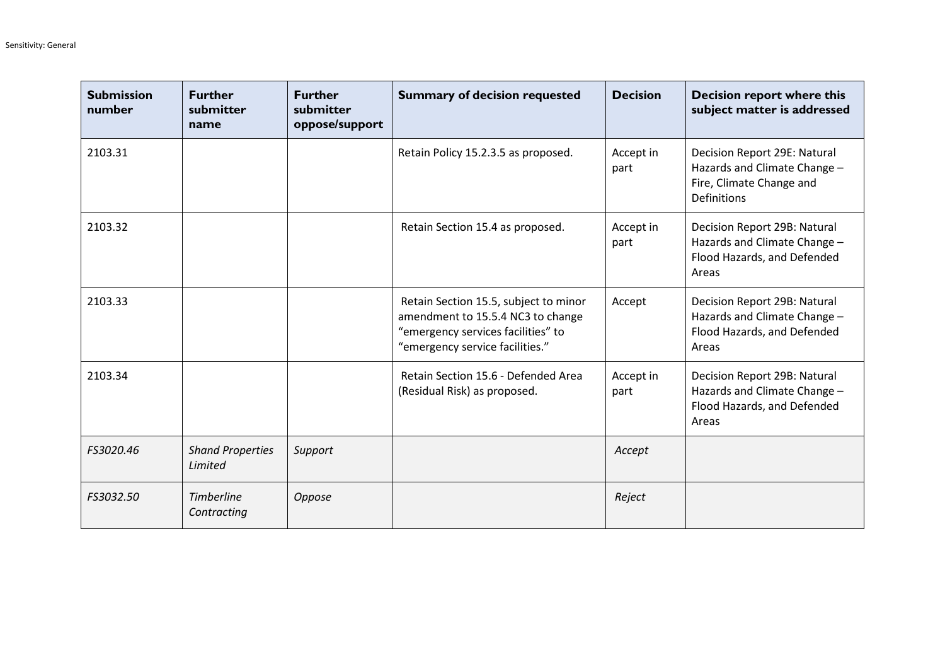| <b>Submission</b><br>number | <b>Further</b><br>submitter<br>name | <b>Further</b><br>submitter<br>oppose/support | <b>Summary of decision requested</b>                                                                                                                | <b>Decision</b>   | <b>Decision report where this</b><br>subject matter is addressed                                        |
|-----------------------------|-------------------------------------|-----------------------------------------------|-----------------------------------------------------------------------------------------------------------------------------------------------------|-------------------|---------------------------------------------------------------------------------------------------------|
| 2103.31                     |                                     |                                               | Retain Policy 15.2.3.5 as proposed.                                                                                                                 | Accept in<br>part | Decision Report 29E: Natural<br>Hazards and Climate Change -<br>Fire, Climate Change and<br>Definitions |
| 2103.32                     |                                     |                                               | Retain Section 15.4 as proposed.                                                                                                                    | Accept in<br>part | Decision Report 29B: Natural<br>Hazards and Climate Change -<br>Flood Hazards, and Defended<br>Areas    |
| 2103.33                     |                                     |                                               | Retain Section 15.5, subject to minor<br>amendment to 15.5.4 NC3 to change<br>"emergency services facilities" to<br>"emergency service facilities." | Accept            | Decision Report 29B: Natural<br>Hazards and Climate Change -<br>Flood Hazards, and Defended<br>Areas    |
| 2103.34                     |                                     |                                               | Retain Section 15.6 - Defended Area<br>(Residual Risk) as proposed.                                                                                 | Accept in<br>part | Decision Report 29B: Natural<br>Hazards and Climate Change -<br>Flood Hazards, and Defended<br>Areas    |
| FS3020.46                   | <b>Shand Properties</b><br>Limited  | Support                                       |                                                                                                                                                     | Accept            |                                                                                                         |
| FS3032.50                   | <b>Timberline</b><br>Contracting    | Oppose                                        |                                                                                                                                                     | Reject            |                                                                                                         |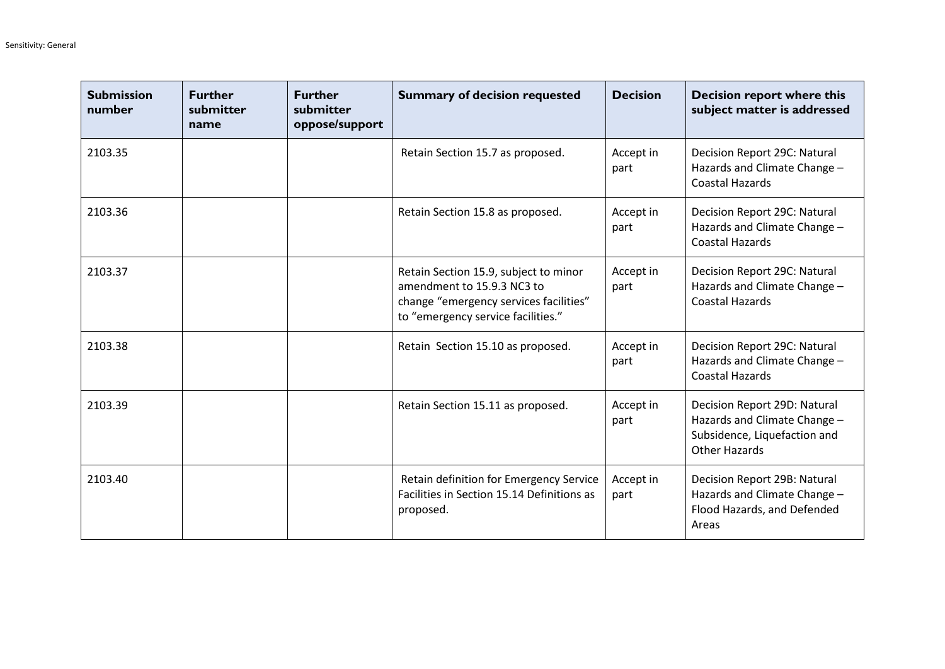| <b>Submission</b><br>number | <b>Further</b><br>submitter<br>name | <b>Further</b><br>submitter<br>oppose/support | <b>Summary of decision requested</b>                                                                                                                | <b>Decision</b>   | <b>Decision report where this</b><br>subject matter is addressed                                                     |
|-----------------------------|-------------------------------------|-----------------------------------------------|-----------------------------------------------------------------------------------------------------------------------------------------------------|-------------------|----------------------------------------------------------------------------------------------------------------------|
| 2103.35                     |                                     |                                               | Retain Section 15.7 as proposed.                                                                                                                    | Accept in<br>part | Decision Report 29C: Natural<br>Hazards and Climate Change -<br><b>Coastal Hazards</b>                               |
| 2103.36                     |                                     |                                               | Retain Section 15.8 as proposed.                                                                                                                    | Accept in<br>part | Decision Report 29C: Natural<br>Hazards and Climate Change -<br><b>Coastal Hazards</b>                               |
| 2103.37                     |                                     |                                               | Retain Section 15.9, subject to minor<br>amendment to 15.9.3 NC3 to<br>change "emergency services facilities"<br>to "emergency service facilities." | Accept in<br>part | Decision Report 29C: Natural<br>Hazards and Climate Change -<br><b>Coastal Hazards</b>                               |
| 2103.38                     |                                     |                                               | Retain Section 15.10 as proposed.                                                                                                                   | Accept in<br>part | Decision Report 29C: Natural<br>Hazards and Climate Change -<br><b>Coastal Hazards</b>                               |
| 2103.39                     |                                     |                                               | Retain Section 15.11 as proposed.                                                                                                                   | Accept in<br>part | Decision Report 29D: Natural<br>Hazards and Climate Change -<br>Subsidence, Liquefaction and<br><b>Other Hazards</b> |
| 2103.40                     |                                     |                                               | Retain definition for Emergency Service<br>Facilities in Section 15.14 Definitions as<br>proposed.                                                  | Accept in<br>part | Decision Report 29B: Natural<br>Hazards and Climate Change -<br>Flood Hazards, and Defended<br>Areas                 |